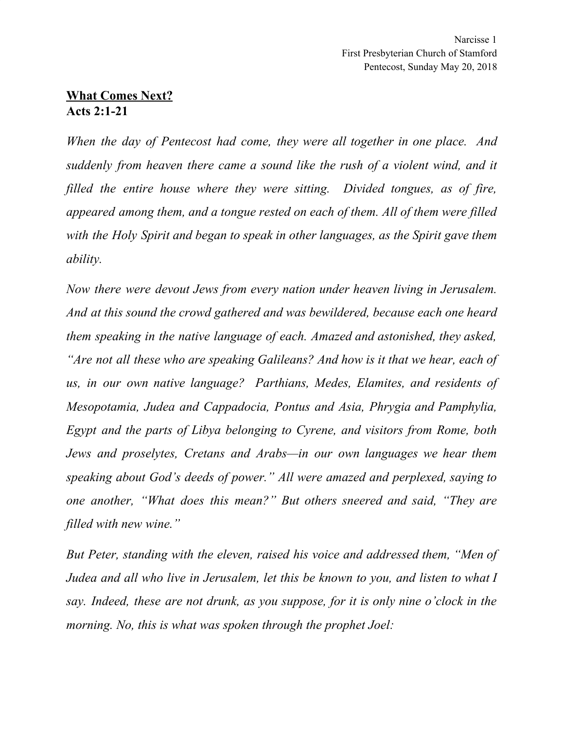## **What Comes Next? Acts 2:1-21**

*When the day of Pentecost had come, they were all together in one place. And suddenly from heaven there came a sound like the rush of a violent wind, and it filled the entire house where they were sitting. Divided tongues, as of fire, appeared among them, and a tongue rested on each of them. All of them were filled with the Holy Spirit and began to speak in other languages, as the Spirit gave them ability.*

*Now there were devout Jews from every nation under heaven living in Jerusalem. And at this sound the crowd gathered and was bewildered, because each one heard them speaking in the native language of each. Amazed and astonished, they asked, "Are not all these who are speaking Galileans? And how is it that we hear, each of us, in our own native language? Parthians, Medes, Elamites, and residents of Mesopotamia, Judea and Cappadocia, Pontus and Asia, Phrygia and Pamphylia, Egypt and the parts of Libya belonging to Cyrene, and visitors from Rome, both Jews and proselytes, Cretans and Arabs—in our own languages we hear them speaking about God's deeds of power." All were amazed and perplexed, saying to one another, "What does this mean?" But others sneered and said, "They are filled with new wine."*

*But Peter, standing with the eleven, raised his voice and addressed them, "Men of Judea and all who live in Jerusalem, let this be known to you, and listen to what I say. Indeed, these are not drunk, as you suppose, for it is only nine o'clock in the morning. No, this is what was spoken through the prophet Joel:*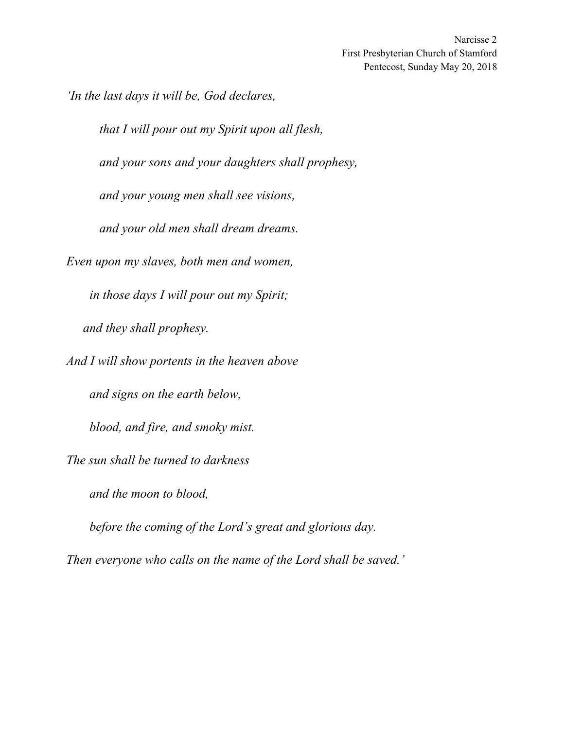Narcisse 2 First Presbyterian Church of Stamford Pentecost, Sunday May 20, 2018

*'In the last days it will be, God declares,*

*that I will pour out my Spirit upon all flesh,*

*and your sons and your daughters shall prophesy,*

*and your young men shall see visions,*

*and your old men shall dream dreams.*

*Even upon my slaves, both men and women,*

*in those days I will pour out my Spirit; and they shall prophesy.*

*And I will show portents in the heaven above*

*and signs on the earth below,*

*blood, and fire, and smoky mist.*

*The sun shall be turned to darkness*

*and the moon to blood,*

*before the coming of the Lord's great and glorious day.*

*Then everyone who calls on the name of the Lord shall be saved.'*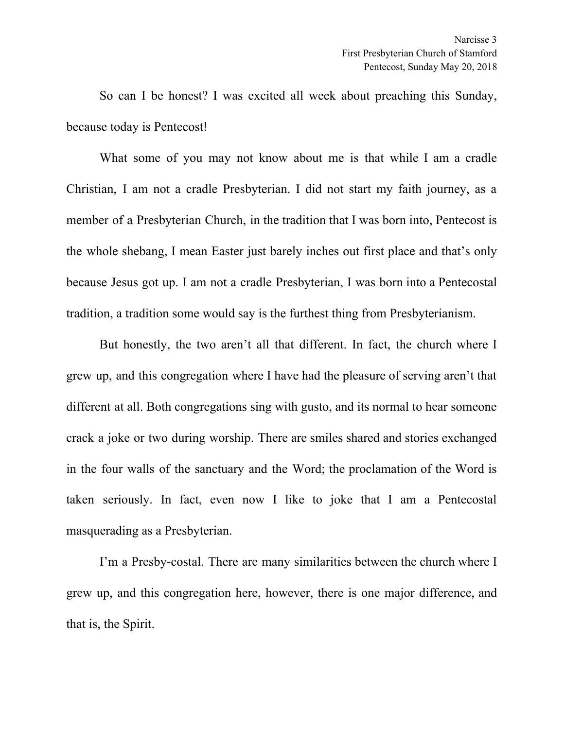So can I be honest? I was excited all week about preaching this Sunday, because today is Pentecost!

What some of you may not know about me is that while I am a cradle Christian, I am not a cradle Presbyterian. I did not start my faith journey, as a member of a Presbyterian Church, in the tradition that I was born into, Pentecost is the whole shebang, I mean Easter just barely inches out first place and that's only because Jesus got up. I am not a cradle Presbyterian, I was born into a Pentecostal tradition, a tradition some would say is the furthest thing from Presbyterianism.

But honestly, the two aren't all that different. In fact, the church where I grew up, and this congregation where I have had the pleasure of serving aren't that different at all. Both congregations sing with gusto, and its normal to hear someone crack a joke or two during worship. There are smiles shared and stories exchanged in the four walls of the sanctuary and the Word; the proclamation of the Word is taken seriously. In fact, even now I like to joke that I am a Pentecostal masquerading as a Presbyterian.

I'm a Presby-costal. There are many similarities between the church where I grew up, and this congregation here, however, there is one major difference, and that is, the Spirit.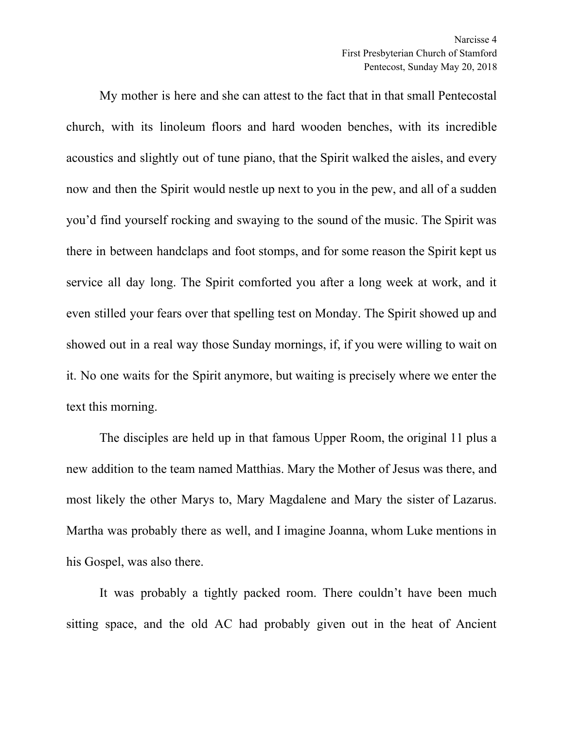My mother is here and she can attest to the fact that in that small Pentecostal church, with its linoleum floors and hard wooden benches, with its incredible acoustics and slightly out of tune piano, that the Spirit walked the aisles, and every now and then the Spirit would nestle up next to you in the pew, and all of a sudden you'd find yourself rocking and swaying to the sound of the music. The Spirit was there in between handclaps and foot stomps, and for some reason the Spirit kept us service all day long. The Spirit comforted you after a long week at work, and it even stilled your fears over that spelling test on Monday. The Spirit showed up and showed out in a real way those Sunday mornings, if, if you were willing to wait on it. No one waits for the Spirit anymore, but waiting is precisely where we enter the text this morning.

The disciples are held up in that famous Upper Room, the original 11 plus a new addition to the team named Matthias. Mary the Mother of Jesus was there, and most likely the other Marys to, Mary Magdalene and Mary the sister of Lazarus. Martha was probably there as well, and I imagine Joanna, whom Luke mentions in his Gospel, was also there.

It was probably a tightly packed room. There couldn't have been much sitting space, and the old AC had probably given out in the heat of Ancient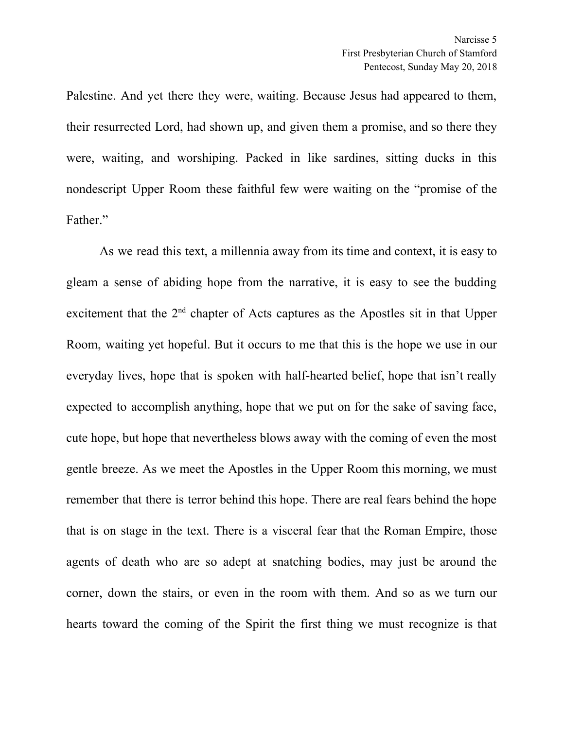Palestine. And yet there they were, waiting. Because Jesus had appeared to them, their resurrected Lord, had shown up, and given them a promise, and so there they were, waiting, and worshiping. Packed in like sardines, sitting ducks in this nondescript Upper Room these faithful few were waiting on the "promise of the Father."

As we read this text, a millennia away from its time and context, it is easy to gleam a sense of abiding hope from the narrative, it is easy to see the budding excitement that the  $2<sup>nd</sup>$  chapter of Acts captures as the Apostles sit in that Upper Room, waiting yet hopeful. But it occurs to me that this is the hope we use in our everyday lives, hope that is spoken with half-hearted belief, hope that isn't really expected to accomplish anything, hope that we put on for the sake of saving face, cute hope, but hope that nevertheless blows away with the coming of even the most gentle breeze. As we meet the Apostles in the Upper Room this morning, we must remember that there is terror behind this hope. There are real fears behind the hope that is on stage in the text. There is a visceral fear that the Roman Empire, those agents of death who are so adept at snatching bodies, may just be around the corner, down the stairs, or even in the room with them. And so as we turn our hearts toward the coming of the Spirit the first thing we must recognize is that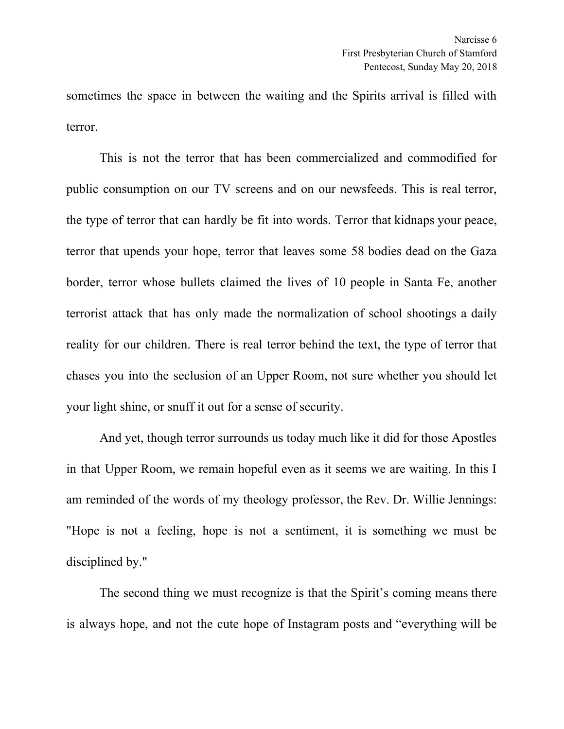sometimes the space in between the waiting and the Spirits arrival is filled with terror.

This is not the terror that has been commercialized and commodified for public consumption on our TV screens and on our newsfeeds. This is real terror, the type of terror that can hardly be fit into words. Terror that kidnaps your peace, terror that upends your hope, terror that leaves some 58 bodies dead on the Gaza border, terror whose bullets claimed the lives of 10 people in Santa Fe, another terrorist attack that has only made the normalization of school shootings a daily reality for our children. There is real terror behind the text, the type of terror that chases you into the seclusion of an Upper Room, not sure whether you should let your light shine, or snuff it out for a sense of security.

And yet, though terror surrounds us today much like it did for those Apostles in that Upper Room, we remain hopeful even as it seems we are waiting. In this I am reminded of the words of my theology professor, the Rev. Dr. Willie Jennings: "Hope is not a feeling, hope is not a sentiment, it is something we must be disciplined by."

The second thing we must recognize is that the Spirit's coming means there is always hope, and not the cute hope of Instagram posts and "everything will be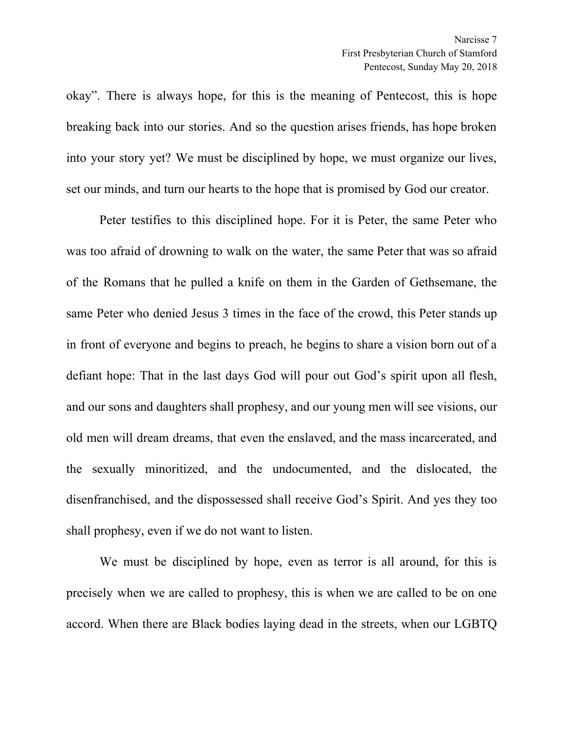okay". There is always hope, for this is the meaning of Pentecost, this is hope breaking back into our stories. And so the question arises friends, has hope broken into your story yet? We must be disciplined by hope, we must organize our lives, set our minds, and turn our hearts to the hope that is promised by God our creator.

Peter testifies to this disciplined hope. For it is Peter, the same Peter who was too afraid of drowning to walk on the water, the same Peter that was so afraid of the Romans that he pulled a knife on them in the Garden of Gethsemane, the same Peter who denied Jesus 3 times in the face of the crowd, this Peter stands up in front of everyone and begins to preach, he begins to share a vision born out of a defiant hope: That in the last days God will pour out God's spirit upon all flesh, and our sons and daughters shall prophesy, and our young men will see visions, our old men will dream dreams, that even the enslaved, and the mass incarcerated, and the sexually minoritized, and the undocumented, and the dislocated, the disenfranchised, and the dispossessed shall receive God's Spirit. And yes they too shall prophesy, even if we do not want to listen.

We must be disciplined by hope, even as terror is all around, for this is precisely when we are called to prophesy, this is when we are called to be on one accord. When there are Black bodies laying dead in the streets, when our LGBTQ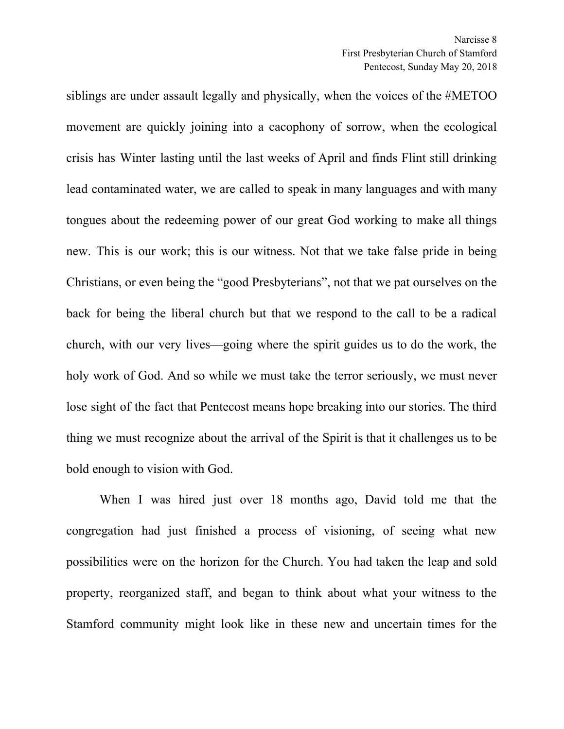siblings are under assault legally and physically, when the voices of the #METOO movement are quickly joining into a cacophony of sorrow, when the ecological crisis has Winter lasting until the last weeks of April and finds Flint still drinking lead contaminated water, we are called to speak in many languages and with many tongues about the redeeming power of our great God working to make all things new. This is our work; this is our witness. Not that we take false pride in being Christians, or even being the "good Presbyterians", not that we pat ourselves on the back for being the liberal church but that we respond to the call to be a radical church, with our very lives—going where the spirit guides us to do the work, the holy work of God. And so while we must take the terror seriously, we must never lose sight of the fact that Pentecost means hope breaking into our stories. The third thing we must recognize about the arrival of the Spirit is that it challenges us to be bold enough to vision with God.

When I was hired just over 18 months ago, David told me that the congregation had just finished a process of visioning, of seeing what new possibilities were on the horizon for the Church. You had taken the leap and sold property, reorganized staff, and began to think about what your witness to the Stamford community might look like in these new and uncertain times for the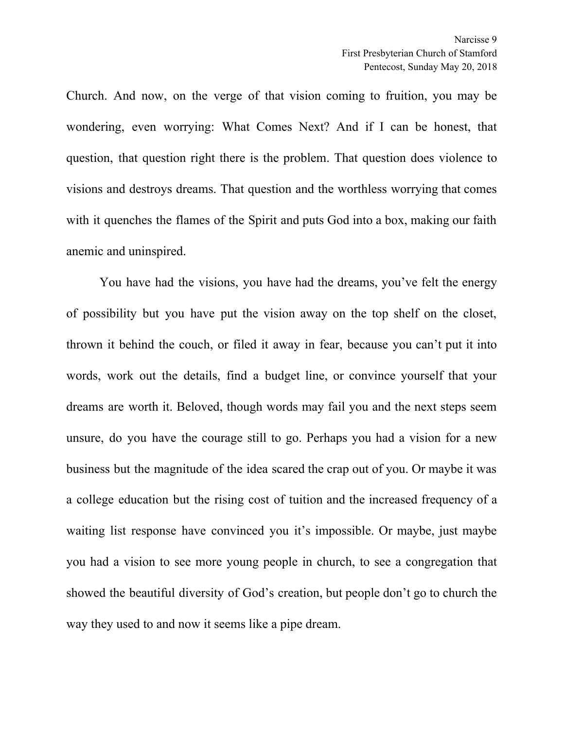Church. And now, on the verge of that vision coming to fruition, you may be wondering, even worrying: What Comes Next? And if I can be honest, that question, that question right there is the problem. That question does violence to visions and destroys dreams. That question and the worthless worrying that comes with it quenches the flames of the Spirit and puts God into a box, making our faith anemic and uninspired.

You have had the visions, you have had the dreams, you've felt the energy of possibility but you have put the vision away on the top shelf on the closet, thrown it behind the couch, or filed it away in fear, because you can't put it into words, work out the details, find a budget line, or convince yourself that your dreams are worth it. Beloved, though words may fail you and the next steps seem unsure, do you have the courage still to go. Perhaps you had a vision for a new business but the magnitude of the idea scared the crap out of you. Or maybe it was a college education but the rising cost of tuition and the increased frequency of a waiting list response have convinced you it's impossible. Or maybe, just maybe you had a vision to see more young people in church, to see a congregation that showed the beautiful diversity of God's creation, but people don't go to church the way they used to and now it seems like a pipe dream.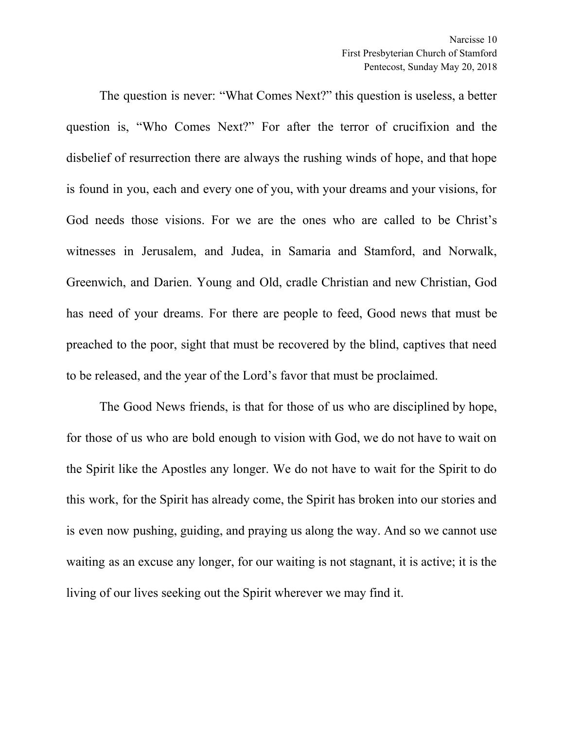The question is never: "What Comes Next?" this question is useless, a better question is, "Who Comes Next?" For after the terror of crucifixion and the disbelief of resurrection there are always the rushing winds of hope, and that hope is found in you, each and every one of you, with your dreams and your visions, for God needs those visions. For we are the ones who are called to be Christ's witnesses in Jerusalem, and Judea, in Samaria and Stamford, and Norwalk, Greenwich, and Darien. Young and Old, cradle Christian and new Christian, God has need of your dreams. For there are people to feed, Good news that must be preached to the poor, sight that must be recovered by the blind, captives that need to be released, and the year of the Lord's favor that must be proclaimed.

The Good News friends, is that for those of us who are disciplined by hope, for those of us who are bold enough to vision with God, we do not have to wait on the Spirit like the Apostles any longer. We do not have to wait for the Spirit to do this work, for the Spirit has already come, the Spirit has broken into our stories and is even now pushing, guiding, and praying us along the way. And so we cannot use waiting as an excuse any longer, for our waiting is not stagnant, it is active; it is the living of our lives seeking out the Spirit wherever we may find it.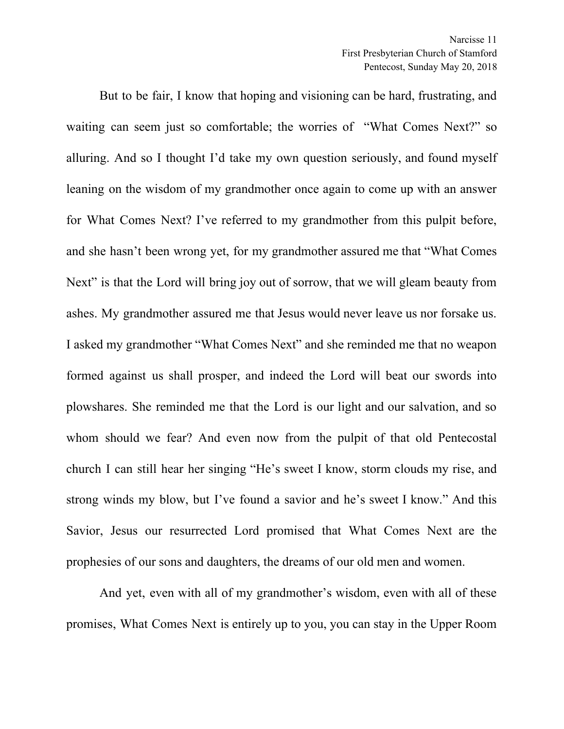But to be fair, I know that hoping and visioning can be hard, frustrating, and waiting can seem just so comfortable; the worries of "What Comes Next?" so alluring. And so I thought I'd take my own question seriously, and found myself leaning on the wisdom of my grandmother once again to come up with an answer for What Comes Next? I've referred to my grandmother from this pulpit before, and she hasn't been wrong yet, for my grandmother assured me that "What Comes Next" is that the Lord will bring joy out of sorrow, that we will gleam beauty from ashes. My grandmother assured me that Jesus would never leave us nor forsake us. I asked my grandmother "What Comes Next" and she reminded me that no weapon formed against us shall prosper, and indeed the Lord will beat our swords into plowshares. She reminded me that the Lord is our light and our salvation, and so whom should we fear? And even now from the pulpit of that old Pentecostal church I can still hear her singing "He's sweet I know, storm clouds my rise, and strong winds my blow, but I've found a savior and he's sweet I know." And this Savior, Jesus our resurrected Lord promised that What Comes Next are the prophesies of our sons and daughters, the dreams of our old men and women.

And yet, even with all of my grandmother's wisdom, even with all of these promises, What Comes Next is entirely up to you, you can stay in the Upper Room